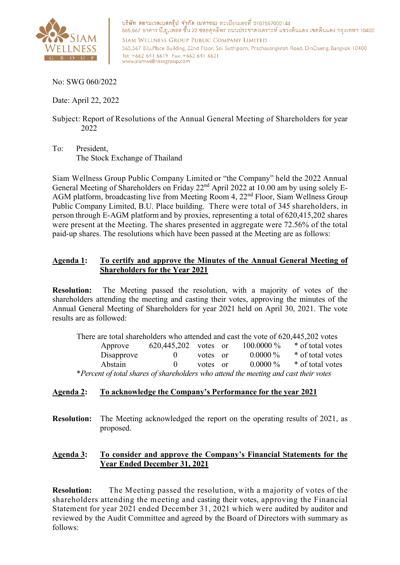

บริษัท สยามเวลเนสกรุ๊ป จำกัด (มหาชน) ทะเบียนเลขที่ 0107557000144 565,567 อาคาร บี.ยู.เพลส ขั้น 22 ซอยสุทธิพร ถนนประชาสงเคราะห์ แขวงดินแดง เขตดินแดง กรุงเทพฯ 10400 SIAM WELLNESS GROUP PUBLIC COMPANY LIMITED

565,567 B.U.Place Building, 22nd Floor, Soi Suthiporn, Prachasongkroh Road, DinDaeng, Bangkok 10400 Tel: +662 641 6619 Fax: +662 641 6621 www.siamwellnessgroup.com

No: SWG 060/2022

Date: April 22, 2022

Subject: Report of Resolutions of the Annual General Meeting of Shareholders for year 2022

To: President, The Stock Exchange of Thailand

Siam Wellness Group Public Company Limited or "the Company" held the 2022 Annual General Meeting of Shareholders on Friday 22<sup>nd</sup> April 2022 at 10.00 am by using solely E-AGM platform, broadcasting live from Meeting Room 4, 22nd Floor, Siam Wellness Group Public Company Limited, B.U. Place building. There were total of 345 shareholders, in person through E-AGM platform and by proxies, representing a total of 620,415,202 shares were present at the Meeting. The shares presented in aggregate were 72.56% of the total paid-up shares. The resolutions which have been passed at the Meeting are as follows:

## **Agenda 1: To certify and approve the Minutes of the Annual General Meeting of Shareholders for the Year 2021**

**Resolution:** The Meeting passed the resolution, with a majority of votes of the shareholders attending the meeting and casting their votes, approving the minutes of the Annual General Meeting of Shareholders for year 2021 held on April 30, 2021. The vote results are as followed:

| There are total shareholders who attended and cast the vote of 620,445,202 votes     |                      |          |  |              |                  |  |
|--------------------------------------------------------------------------------------|----------------------|----------|--|--------------|------------------|--|
| Approve                                                                              | 620,445,202 votes or |          |  | $100.0000\%$ | * of total votes |  |
| Disapprove                                                                           |                      | votes or |  | $0.0000\%$   | * of total votes |  |
| Abstain                                                                              | $\mathbf{U}$         | votes or |  | $0.0000\%$   | * of total votes |  |
| *Percent of total shares of shareholders who attend the meeting and cast their votes |                      |          |  |              |                  |  |

## **Agenda 2: To acknowledge the Company's Performance for the year 2021**

**Resolution:** The Meeting acknowledged the report on the operating results of 2021, as proposed.

#### **Agenda 3: To consider and approve the Company's Financial Statements for the Year Ended December 31, 2021**

**Resolution:** The Meeting passed the resolution, with a majority of votes of the shareholders attending the meeting and casting their votes, approving the Financial Statement for year 2021 ended December 31, 2021 which were audited by auditor and reviewed by the Audit Committee and agreed by the Board of Directors with summary as follows: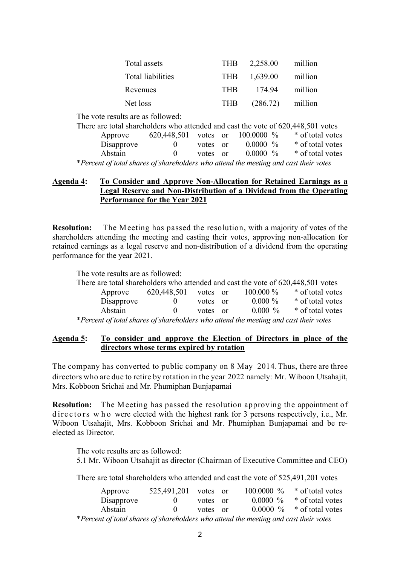| Total assets      |            | THB 2,258.00 | million |
|-------------------|------------|--------------|---------|
| Total liabilities |            | THB 1,639.00 | million |
| Revenues          | <b>THR</b> | 174.94       | million |
| Net loss          | THR        | (286.72)     | million |

The vote results are as followed:

| There are total shareholders who attended and cast the vote of 620,448,501 votes     |                                 |          |             |                  |
|--------------------------------------------------------------------------------------|---------------------------------|----------|-------------|------------------|
| Approve                                                                              | 620,448,501 votes or 100.0000 % |          |             | * of total votes |
| Disapprove                                                                           | $\theta$                        | votes or | $0.0000~\%$ | * of total votes |
| Abstain                                                                              |                                 | votes or | $0.0000~\%$ | * of total votes |
| *Percent of total shares of shareholders who attend the meeting and cast their votes |                                 |          |             |                  |

## **Agenda 4: To Consider and Approve Non-Allocation for Retained Earnings as a Legal Reserve and Non-Distribution of a Dividend from the Operating Performance for the Year 2021**

**Resolution:** The Meeting has passed the resolution, with a majority of votes of the shareholders attending the meeting and casting their votes, approving non-allocation for retained earnings as a legal reserve and non-distribution of a dividend from the operating performance for the year 2021.

The vote results are as followed:

| There are total shareholders who attended and cast the vote of 620,448,501 votes     |             |          |  |             |                  |  |  |
|--------------------------------------------------------------------------------------|-------------|----------|--|-------------|------------------|--|--|
| Approve                                                                              | 620,448,501 | votes or |  | $100.000\%$ | * of total votes |  |  |
| Disapprove                                                                           | $\theta$    | votes or |  | $0.000 \%$  | * of total votes |  |  |
| Abstain                                                                              |             | votes or |  | $0.000\%$   | * of total votes |  |  |
| *Percent of total shares of shareholders who attend the meeting and cast their votes |             |          |  |             |                  |  |  |

#### **Agenda 5: To consider and approve the Election of Directors in place of the directors whose terms expired by rotation**

The company has converted to public company on 8 May 2014. Thus, there are three directors who are due to retire by rotation in the year 2022 namely: Mr. Wiboon Utsahajit, Mrs. Kobboon Srichai and Mr. Phumiphan Bunjapamai

**Resolution:** The M eeting has passed the resolution approving the appointment of directors w h o were elected with the highest rank for 3 persons respectively, i.e., Mr. Wiboon Utsahajit, Mrs. Kobboon Srichai and Mr. Phumiphan Bunjapamai and be reelected as Director.

The vote results are as followed: 5.1 Mr. Wiboon Utsahajit as director (Chairman of Executive Committee and CEO)

There are total shareholders who attended and cast the vote of 525,491,201 votes

| Approve                                                                              | 525,491,201 votes or |          |  | 100.0000 $\%$ * of total votes |
|--------------------------------------------------------------------------------------|----------------------|----------|--|--------------------------------|
| Disapprove                                                                           | $\mathbf{0}$         | votes or |  | $0.0000\%$ * of total votes    |
| Abstain                                                                              | $\mathbf{0}$         | votes or |  | $0.0000\%$ * of total votes    |
| *Percent of total shares of shareholders who attend the meeting and cast their votes |                      |          |  |                                |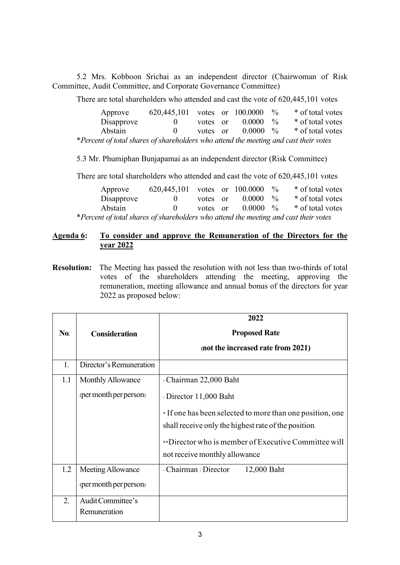5.2 Mrs. Kobboon Srichai as an independent director (Chairwoman of Risk Committee, Audit Committee, and Corporate Governance Committee)

There are total shareholders who attended and cast the vote of 620,445,101 votes

| Approve                                                                              | 620,445,101 votes or $100.0000$ % |          |                      | * of total votes |
|--------------------------------------------------------------------------------------|-----------------------------------|----------|----------------------|------------------|
| Disapprove                                                                           |                                   | votes or | $0.0000 \frac{9}{6}$ | * of total votes |
| Abstain                                                                              |                                   | votes or | $0.0000 \frac{9}{6}$ | * of total votes |
| *Percent of total shares of shareholders who attend the meeting and cast their votes |                                   |          |                      |                  |

5.3 Mr. Phumiphan Bunjapamai as an independent director (Risk Committee)

There are total shareholders who attended and cast the vote of 620,445,101 votes

| Approve                                                                              | 620,445,101 votes or $100.0000$ % |          |                   | * of total votes                      |
|--------------------------------------------------------------------------------------|-----------------------------------|----------|-------------------|---------------------------------------|
| Disapprove                                                                           | $\mathbf{0}$                      | votes or | $0.0000 \gamma_0$ | * of total votes                      |
| Abstain                                                                              | $\mathbf{0}$                      | votes or |                   | $0.0000 \frac{9}{6}$ * of total votes |
| *Percent of total shares of shareholders who attend the meeting and cast their votes |                                   |          |                   |                                       |

#### **Agenda 6: To consider and approve the Remuneration of the Directors for the year 2022**

**Resolution:** The Meeting has passed the resolution with not less than two-thirds of total votes of the shareholders attending the meeting, approving the remuneration, meeting allowance and annual bonus of the directors for year 2022 as proposed below:

|            |                         | 2022                                                     |
|------------|-------------------------|----------------------------------------------------------|
| <b>No.</b> | <b>Consideration</b>    | <b>Proposed Rate</b>                                     |
|            |                         | (not the increased rate from 2021)                       |
| 1.         | Director's Remuneration |                                                          |
| 1.1        | Monthly Allowance       | - Chairman 22,000 Baht                                   |
|            | (per month per person)  | - Director 11,000 Baht                                   |
|            |                         | *If one has been selected to more than one position, one |
|            |                         | shall receive only the highest rate of the position.     |
|            |                         | **Director who is member of Executive Committee will     |
|            |                         | not receive monthly allowance                            |
| 1.2        | Meeting Allowance       | - Chairman / Director<br>12,000 Baht                     |
|            | (per month per person)  |                                                          |
| 2.         | Audit Committee's       |                                                          |
|            | Remuneration            |                                                          |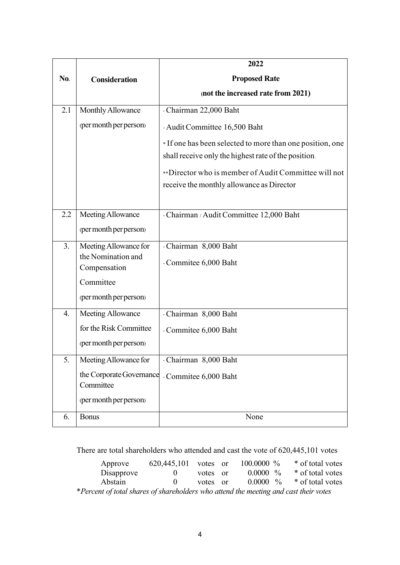|     |                                             | 2022                                                     |
|-----|---------------------------------------------|----------------------------------------------------------|
| No. | <b>Consideration</b>                        | <b>Proposed Rate</b>                                     |
|     |                                             | (not the increased rate from 2021)                       |
| 2.1 | Monthly Allowance                           | - Chairman 22,000 Baht                                   |
|     | (per month per person)                      | - Audit Committee 16,500 Baht                            |
|     |                                             | *If one has been selected to more than one position, one |
|     |                                             | shall receive only the highest rate of the position.     |
|     |                                             | **Director who is member of Audit Committee will not     |
|     |                                             | receive the monthly allowance as Director                |
|     |                                             |                                                          |
| 2.2 | Meeting Allowance                           | - Chairman / Audit Committee 12,000 Baht                 |
|     | (per month per person)                      |                                                          |
| 3.  | Meeting Allowance for<br>the Nomination and | - Chairman 8,000 Baht                                    |
|     | Compensation                                | - Commitee 6,000 Baht                                    |
|     | Committee                                   |                                                          |
|     | (per month per person)                      |                                                          |
| 4.  | Meeting Allowance                           | - Chairman 8,000 Baht                                    |
|     | for the Risk Committee                      | - Commitee 6,000 Baht                                    |
|     | (per month per person)                      |                                                          |
| 5.  | Meeting Allowance for                       | - Chairman 8,000 Baht                                    |
|     | the Corporate Governance                    | - Commitee 6,000 Baht                                    |
|     | Committee                                   |                                                          |
|     | (per month per person)                      |                                                          |
| 6.  | <b>Bonus</b>                                | None                                                     |

There are total shareholders who attended and cast the vote of 620,445,101 votes

| Approve                                                                              | 620,445,101 votes or |          |  | $100.0000 \%$ |  | * of total votes            |  |
|--------------------------------------------------------------------------------------|----------------------|----------|--|---------------|--|-----------------------------|--|
| Disapprove                                                                           | 0.                   | votes or |  | $0.0000~\%$   |  | * of total votes            |  |
| Abstain                                                                              | $\mathbf{0}$         | votes or |  |               |  | $0.0000\%$ * of total votes |  |
| *Percent of total shares of shareholders who attend the meeting and cast their votes |                      |          |  |               |  |                             |  |